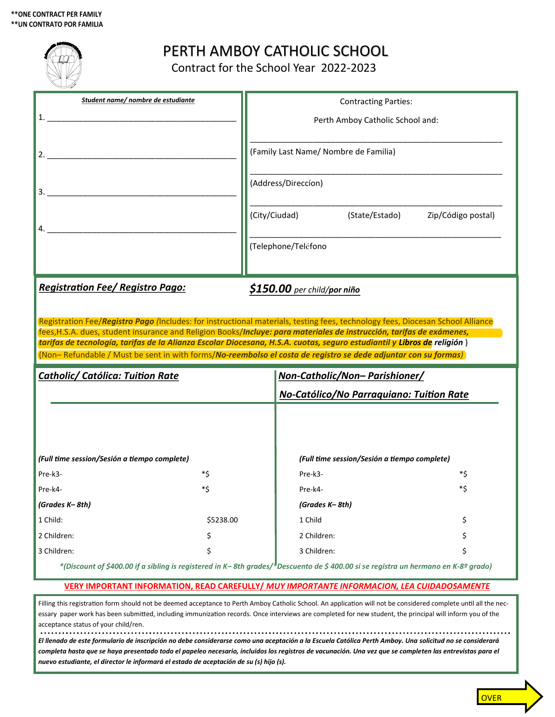|                                                                                                                                                           |    | PERTH AMBOY CATHOLIC SCHOOL<br>Contract for the School Year 2022-2023                                                                                                                                                                                                                                                                                                                                              |     |  |
|-----------------------------------------------------------------------------------------------------------------------------------------------------------|----|--------------------------------------------------------------------------------------------------------------------------------------------------------------------------------------------------------------------------------------------------------------------------------------------------------------------------------------------------------------------------------------------------------------------|-----|--|
| Student name/ nombre de estudiante                                                                                                                        |    | <b>Contracting Parties:</b>                                                                                                                                                                                                                                                                                                                                                                                        |     |  |
|                                                                                                                                                           |    | Perth Amboy Catholic School and:                                                                                                                                                                                                                                                                                                                                                                                   |     |  |
|                                                                                                                                                           |    |                                                                                                                                                                                                                                                                                                                                                                                                                    |     |  |
|                                                                                                                                                           |    | (Family Last Name/ Nombre de Familia)                                                                                                                                                                                                                                                                                                                                                                              |     |  |
|                                                                                                                                                           |    | (Address/Direccion)                                                                                                                                                                                                                                                                                                                                                                                                |     |  |
|                                                                                                                                                           |    | (State/Estado)<br>(City/Ciudad)<br>Zip/Código postal)                                                                                                                                                                                                                                                                                                                                                              |     |  |
|                                                                                                                                                           |    | (Telephone/Teléfono                                                                                                                                                                                                                                                                                                                                                                                                |     |  |
| <b>Registration Fee/ Registro Pago:</b>                                                                                                                   |    | \$150.00 per child/por niño<br>Registration Fee/Registro Pago (Includes: for instructional materials, testing fees, technology fees, Diocesan School Alliance<br>fees, H.S.A. dues, student insurance and Religion Books/Incluye: para materiales de instrucción, tarifas de exámenes,<br>tarifas de tecnología, tarifas de la Alianza Escolar Diocesana, H.S.A. cuotas, seguro estudiantil y Libros de religión ) |     |  |
| (Non-Refundable / Must be sent in with forms/No-reembolso el costa de registro se dede adjuntar con su formas)<br><b>Catholic/ Católica: Tuition Rate</b> |    | <u>Non-Catholic/Non- Parishioner/</u>                                                                                                                                                                                                                                                                                                                                                                              |     |  |
|                                                                                                                                                           |    | <b>No-Católico/No Parraquiano: Tuition Rate</b>                                                                                                                                                                                                                                                                                                                                                                    |     |  |
| (Full time session/Sesión a tiempo complete)                                                                                                              |    | (Full time session/Sesión a tiempo complete)                                                                                                                                                                                                                                                                                                                                                                       |     |  |
| *Ś<br>Pre-k3-                                                                                                                                             |    | Pre-k3-                                                                                                                                                                                                                                                                                                                                                                                                            | *\$ |  |
| Pre-k4-                                                                                                                                                   | *Ś | Pre-k4-                                                                                                                                                                                                                                                                                                                                                                                                            | *\$ |  |
| (Grades K– 8th)                                                                                                                                           |    | (Grades K– 8th)                                                                                                                                                                                                                                                                                                                                                                                                    |     |  |
| 1 Child:<br>\$5238.00                                                                                                                                     |    | 1 Child                                                                                                                                                                                                                                                                                                                                                                                                            |     |  |
| 2 Children:                                                                                                                                               | \$ | 2 Children:                                                                                                                                                                                                                                                                                                                                                                                                        |     |  |
| 3 Children:                                                                                                                                               |    | 3 Children:                                                                                                                                                                                                                                                                                                                                                                                                        |     |  |
|                                                                                                                                                           |    | *(Discount of \$400.00 if a sibling is registered in K– 8th grades/*Descuento de \$ 400.00 si se registra un hermano en K-8º grado)                                                                                                                                                                                                                                                                                |     |  |
|                                                                                                                                                           |    | VERY IMPORTANT INFORMATION, READ CAREFULLY / MUY IMPORTANTE INFORMACION, LEA CUIDADOSAMENTE                                                                                                                                                                                                                                                                                                                        |     |  |
|                                                                                                                                                           |    |                                                                                                                                                                                                                                                                                                                                                                                                                    |     |  |
| acceptance status of your child/ren.                                                                                                                      |    | Filling this registration form should not be deemed acceptance to Perth Amboy Catholic School. An application will not be considered complete until all the nec-<br>essary paper work has been submitted, including immunization records. Once interviews are completed for new student, the principal will inform you of the                                                                                      |     |  |

*El llenado de este formulario de inscripción no debe considerarse como una aceptación a la Escuela Católica Perth Amboy. Una solicitud no se considerará completa hasta que se haya presentado todo el papeleo necesario, incluidos los registros de vacunación. Una vez que se completen las entrevistas para el nuevo estudiante, el director le informará el estado de aceptación de su (s) hijo (s).*